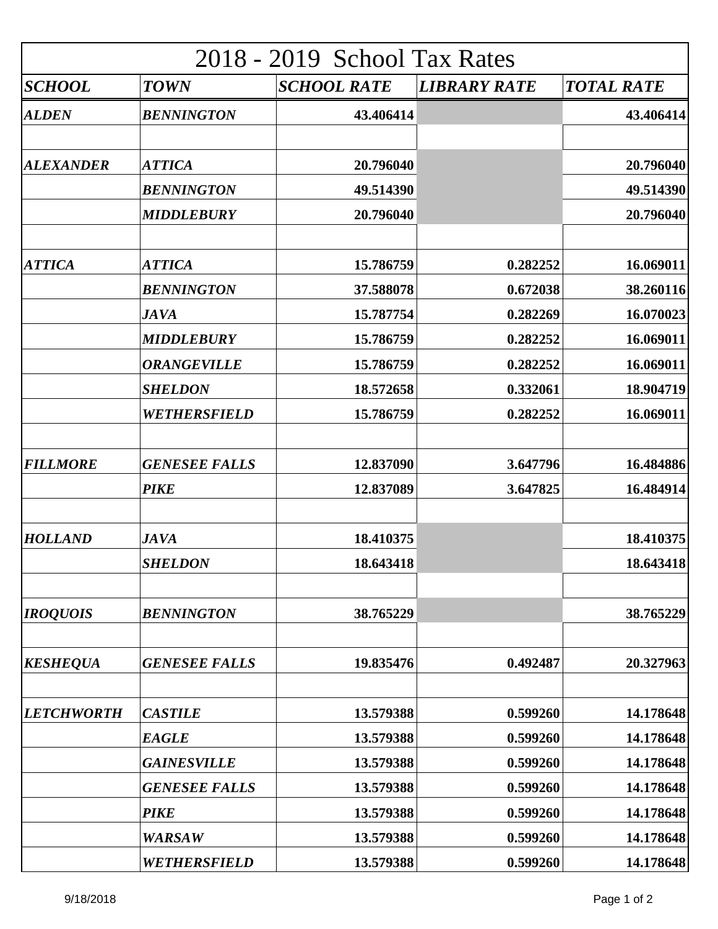| 2018 - 2019 School Tax Rates |                               |                        |                     |                        |  |  |
|------------------------------|-------------------------------|------------------------|---------------------|------------------------|--|--|
| <i><b>SCHOOL</b></i>         | <b>TOWN</b>                   | <b>SCHOOL RATE</b>     | <b>LIBRARY RATE</b> | <b>TOTAL RATE</b>      |  |  |
| <b>ALDEN</b>                 | <b>BENNINGTON</b>             | 43.406414              |                     | 43.406414              |  |  |
| <b>ALEXANDER</b>             | <b>ATTICA</b>                 | 20.796040              |                     | 20.796040              |  |  |
|                              | <b>BENNINGTON</b>             | 49.514390              |                     | 49.514390              |  |  |
|                              | <b>MIDDLEBURY</b>             | 20.796040              |                     | 20.796040              |  |  |
| <b>ATTICA</b>                | <b>ATTICA</b>                 | 15.786759              | 0.282252            | 16.069011              |  |  |
|                              | <b>BENNINGTON</b>             | 37.588078              | 0.672038            | 38.260116              |  |  |
|                              | <b>JAVA</b>                   | 15.787754              | 0.282269            | 16.070023              |  |  |
|                              | <b>MIDDLEBURY</b>             | 15.786759              | 0.282252            | 16.069011              |  |  |
|                              | <b>ORANGEVILLE</b>            | 15.786759              | 0.282252            | 16.069011              |  |  |
|                              | <b>SHELDON</b>                | 18.572658              | 0.332061            | 18.904719              |  |  |
|                              | WETHERSFIELD                  | 15.786759              | 0.282252            | 16.069011              |  |  |
| <b>FILLMORE</b>              | <b>GENESEE FALLS</b>          | 12.837090              | 3.647796            | 16.484886              |  |  |
|                              | <b>PIKE</b>                   | 12.837089              | 3.647825            | 16.484914              |  |  |
| <b>HOLLAND</b>               | <b>JAVA</b><br><b>SHELDON</b> | 18.410375<br>18.643418 |                     | 18.410375<br>18.643418 |  |  |
|                              |                               |                        |                     |                        |  |  |
| <b>IROQUOIS</b>              | <b>BENNINGTON</b>             | 38.765229              |                     | 38.765229              |  |  |
| <b>KESHEQUA</b>              | <b>GENESEE FALLS</b>          | 19.835476              | 0.492487            | 20.327963              |  |  |
| <b>LETCHWORTH</b>            | <b>CASTILE</b>                | 13.579388              | 0.599260            | 14.178648              |  |  |
|                              | <b>EAGLE</b>                  | 13.579388              | 0.599260            | 14.178648              |  |  |
|                              | <b>GAINESVILLE</b>            | 13.579388              | 0.599260            | 14.178648              |  |  |
|                              | <b>GENESEE FALLS</b>          | 13.579388              | 0.599260            | 14.178648              |  |  |
|                              | <b>PIKE</b>                   | 13.579388              | 0.599260            | 14.178648              |  |  |
|                              | <b>WARSAW</b>                 | 13.579388              | 0.599260            | 14.178648              |  |  |
|                              | WETHERSFIELD                  | 13.579388              | 0.599260            | 14.178648              |  |  |